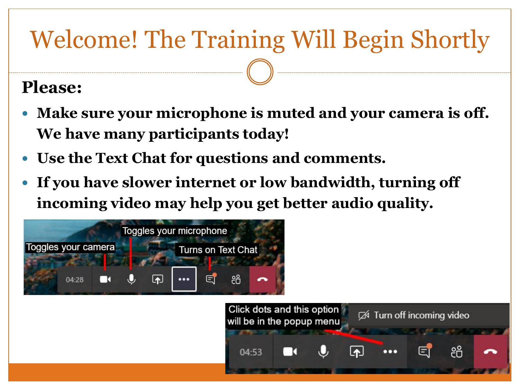## Welcome! The Training Will Begin Shortly

#### **Please:**

- **Make sure your microphone is muted and your camera is off. We have many participants today!**
- **Use the Text Chat for questions and comments.**
- **If you have slower internet or low bandwidth, turning off incoming video may help you get better audio quality.**



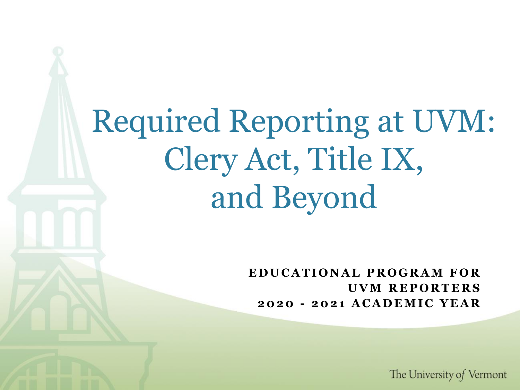Required Reporting at UVM: Clery Act, Title IX, and Beyond

> **E D U C A T I O N A L P R O G R A M F O R U V M R E P O R T E R S 2020 - 2 0 2 1 A C A D E M I C Y E A R**

> > The University of Vermont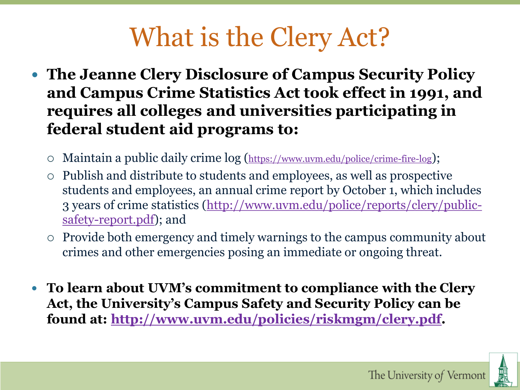# What is the Clery Act?

- **The Jeanne Clery Disclosure of Campus Security Policy and Campus Crime Statistics Act took effect in 1991, and requires all colleges and universities participating in federal student aid programs to:**
	- Maintain a public daily crime log (<https://www.uvm.edu/police/crime-fire-log>);
	- Publish and distribute to students and employees, as well as prospective students and employees, an annual crime report by October 1, which includes [3 years of crime statistics \(http://www.uvm.edu/police/reports/clery/public](http://www.uvm.edu/police/reports/clery/public-safety-report.pdf)safety-report.pdf); and
	- Provide both emergency and timely warnings to the campus community about crimes and other emergencies posing an immediate or ongoing threat.
- **To learn about UVM's commitment to compliance with the Clery Act, the University's Campus Safety and Security Policy can be found at: [http://www.uvm.edu/policies/riskmgm/clery.pdf.](http://www.uvm.edu/policies/riskmgm/clery.pdf)**

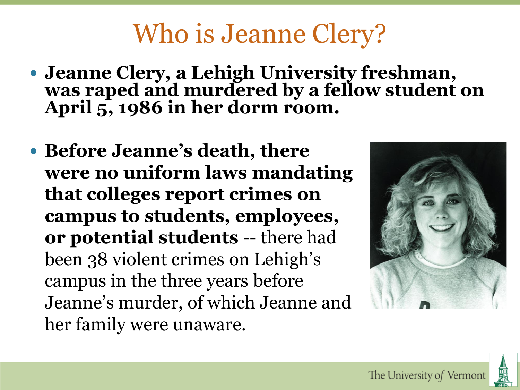# Who is Jeanne Clery?

- **Jeanne Clery, a Lehigh University freshman, was raped and murdered by a fellow student on April 5, 1986 in her dorm room.**
- **Before Jeanne's death, there were no uniform laws mandating that colleges report crimes on campus to students, employees, or potential students** -- there had been 38 violent crimes on Lehigh's campus in the three years before Jeanne's murder, of which Jeanne and her family were unaware.

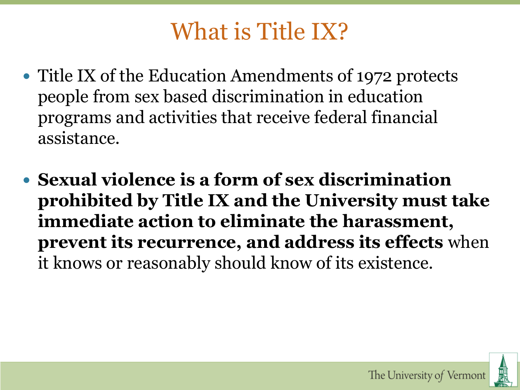## What is Title IX?

- Title IX of the Education Amendments of 1972 protects people from sex based discrimination in education programs and activities that receive federal financial assistance.
- **Sexual violence is a form of sex discrimination prohibited by Title IX and the University must take immediate action to eliminate the harassment, prevent its recurrence, and address its effects** when it knows or reasonably should know of its existence.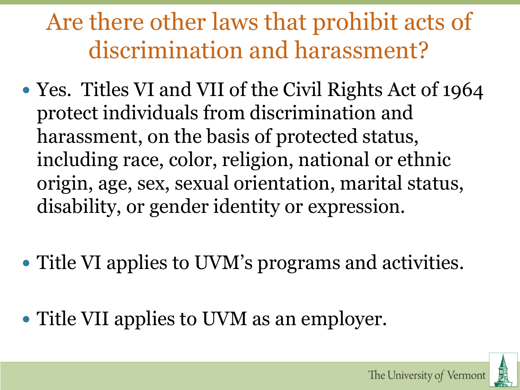## Are there other laws that prohibit acts of discrimination and harassment?

- Yes. Titles VI and VII of the Civil Rights Act of 1964 protect individuals from discrimination and harassment, on the basis of protected status, including race, color, religion, national or ethnic origin, age, sex, sexual orientation, marital status, disability, or gender identity or expression.
- Title VI applies to UVM's programs and activities.
- Title VII applies to UVM as an employer.

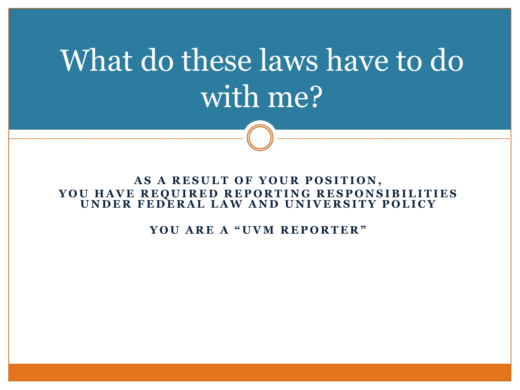# What do these laws have to do with me?

#### AS A RESULT OF YOUR POSITION, **YOU HAVE REQUIRED REPORTING RESPONSIBILITIES** UNDER FEDERAL LAW AND UNIVERSITY POLICY

**Y O U A R E A " U V M R E P O R T E R "**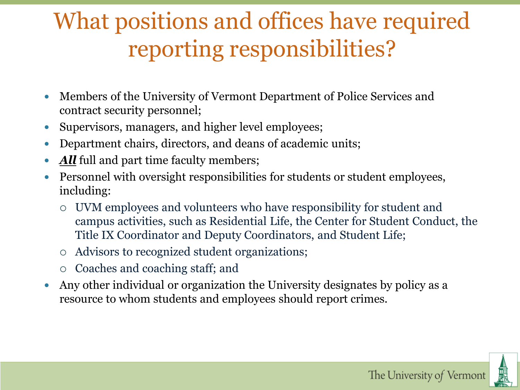## What positions and offices have required reporting responsibilities?

- Members of the University of Vermont Department of Police Services and contract security personnel;
- Supervisors, managers, and higher level employees;
- Department chairs, directors, and deans of academic units;
- *All* full and part time faculty members;
- Personnel with oversight responsibilities for students or student employees, including:
	- UVM employees and volunteers who have responsibility for student and campus activities, such as Residential Life, the Center for Student Conduct, the Title IX Coordinator and Deputy Coordinators, and Student Life;
	- Advisors to recognized student organizations;
	- Coaches and coaching staff; and
- Any other individual or organization the University designates by policy as a resource to whom students and employees should report crimes.

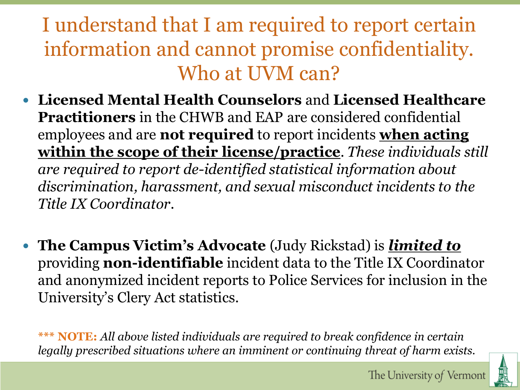### I understand that I am required to report certain information and cannot promise confidentiality. Who at UVM can?

- **Licensed Mental Health Counselors** and **Licensed Healthcare Practitioners** in the CHWB and EAP are considered confidential employees and are **not required** to report incidents **when acting within the scope of their license/practice**. *These individuals still are required to report de-identified statistical information about discrimination, harassment, and sexual misconduct incidents to the Title IX Coordinator.*
- **The Campus Victim's Advocate** (Judy Rickstad) is *limited to* providing **non-identifiable** incident data to the Title IX Coordinator and anonymized incident reports to Police Services for inclusion in the University's Clery Act statistics.

**\*\*\* NOTE:** *All above listed individuals are required to break confidence in certain legally prescribed situations where an imminent or continuing threat of harm exists.*

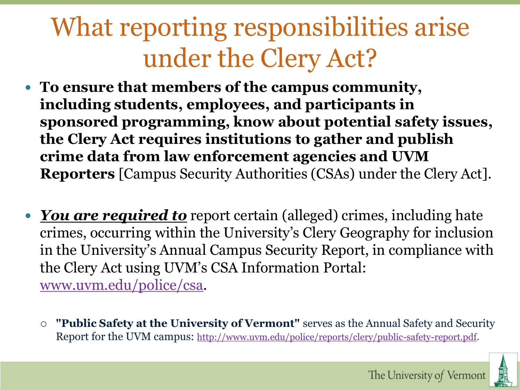# What reporting responsibilities arise under the Clery Act?

- **To ensure that members of the campus community, including students, employees, and participants in sponsored programming, know about potential safety issues, the Clery Act requires institutions to gather and publish crime data from law enforcement agencies and UVM Reporters** [Campus Security Authorities (CSAs) under the Clery Act].
- *You are required to* report certain (alleged) crimes, including hate crimes, occurring within the University's Clery Geography for inclusion in the University's Annual Campus Security Report, in compliance with the Clery Act using UVM's CSA Information Portal: [www.uvm.edu/police/csa.](http://www.uvm.edu/police/csa)
	- **"Public Safety at the University of Vermont"** serves as the Annual Safety and Security Report for the UVM campus: [http://www.uvm.edu/police/reports/clery/public-safety-report.pdf.](http://www.uvm.edu/police/reports/clery/public-safety-report.pdf)

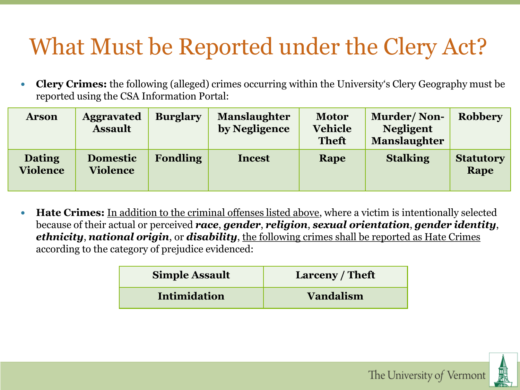## What Must be Reported under the Clery Act?

 **Clery Crimes:** the following (alleged) crimes occurring within the University's Clery Geography must be reported using the CSA Information Portal:

| <b>Arson</b>                     | <b>Aggravated</b><br><b>Assault</b> | <b>Burglary</b> | <b>Manslaughter</b><br>by Negligence | <b>Motor</b><br><b>Vehicle</b><br><b>Theft</b> | <b>Murder/Non-</b><br><b>Negligent</b><br><b>Manslaughter</b> | <b>Robbery</b>           |
|----------------------------------|-------------------------------------|-----------------|--------------------------------------|------------------------------------------------|---------------------------------------------------------------|--------------------------|
| <b>Dating</b><br><b>Violence</b> | <b>Domestic</b><br><b>Violence</b>  | <b>Fondling</b> | <b>Incest</b>                        | Rape                                           | <b>Stalking</b>                                               | <b>Statutory</b><br>Rape |

 **Hate Crimes:** In addition to the criminal offenses listed above, where a victim is intentionally selected because of their actual or perceived *race*, *gender*, *religion*, *sexual orientation*, *gender identity*, *ethnicity*, *national origin*, or *disability*, the following crimes shall be reported as Hate Crimes according to the category of prejudice evidenced:

| <b>Simple Assault</b> | Larceny / Theft  |
|-----------------------|------------------|
| Intimidation          | <b>Vandalism</b> |



The University of Vermont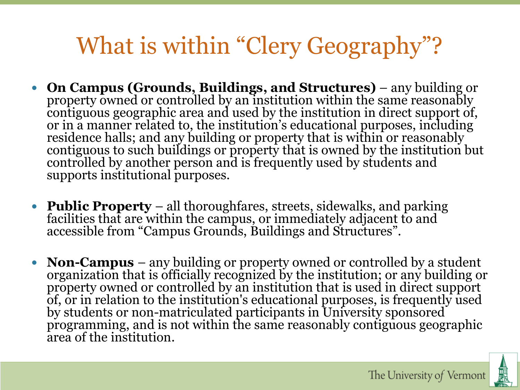## What is within "Clery Geography"?

- **On Campus (Grounds, Buildings, and Structures)**  any building or property owned or controlled by an institution within the same reasonably contiguous geographic area and used by the institution in direct support of, or in a manner related to, the institution's educational purposes, including residence halls; and any building or property that is within or reasonably contiguous to such buildings or property that is owned by the institution but controlled by another person and is frequently used by students and supports institutional purposes.
- **Public Property** all thoroughfares, streets, sidewalks, and parking facilities that are within the campus, or immediately adjacent to and accessible from "Campus Grounds, Buildings and Structures".
- **Non-Campus** any building or property owned or controlled by a student organization that is officially recognized by the institution; or any building or property owned or controlled by an institution that is used in direct support of, or in relation to the institution's educational purposes, is frequently used by students or non-matriculated participants in University sponsored programming, and is not within the same reasonably contiguous geographic area of the institution.

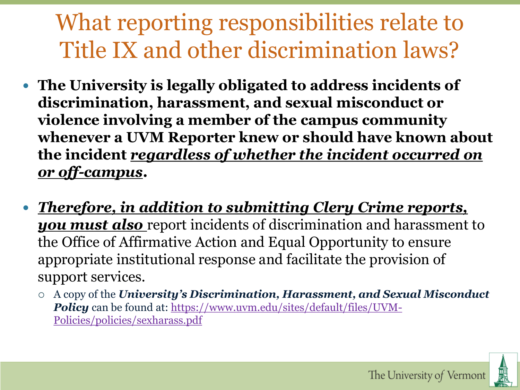## What reporting responsibilities relate to Title IX and other discrimination laws?

- **The University is legally obligated to address incidents of discrimination, harassment, and sexual misconduct or violence involving a member of the campus community whenever a UVM Reporter knew or should have known about the incident** *regardless of whether the incident occurred on or off-campus***.**
- *Therefore, in addition to submitting Clery Crime reports, you must also* report incidents of discrimination and harassment to the Office of Affirmative Action and Equal Opportunity to ensure appropriate institutional response and facilitate the provision of support services.
	- A copy of the *University's Discrimination, Harassment, and Sexual Misconduct*  **Policy** [can be found at: https://www.uvm.edu/sites/default/files/UVM-](https://www.uvm.edu/sites/default/files/UVM-Policies/policies/sexharass.pdf)Policies/policies/sexharass.pdf

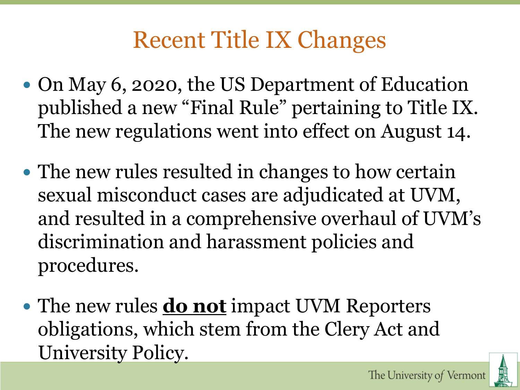## Recent Title IX Changes

- On May 6, 2020, the US Department of Education published a new "Final Rule" pertaining to Title IX. The new regulations went into effect on August 14.
- The new rules resulted in changes to how certain sexual misconduct cases are adjudicated at UVM, and resulted in a comprehensive overhaul of UVM's discrimination and harassment policies and procedures.
- The new rules **do not** impact UVM Reporters obligations, which stem from the Clery Act and University Policy.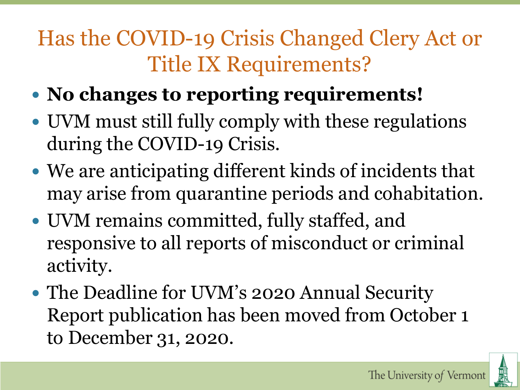## Has the COVID-19 Crisis Changed Clery Act or Title IX Requirements?

- **No changes to reporting requirements!**
- UVM must still fully comply with these regulations during the COVID-19 Crisis.
- We are anticipating different kinds of incidents that may arise from quarantine periods and cohabitation.
- UVM remains committed, fully staffed, and responsive to all reports of misconduct or criminal activity.
- The Deadline for UVM's 2020 Annual Security Report publication has been moved from October 1 to December 31, 2020.

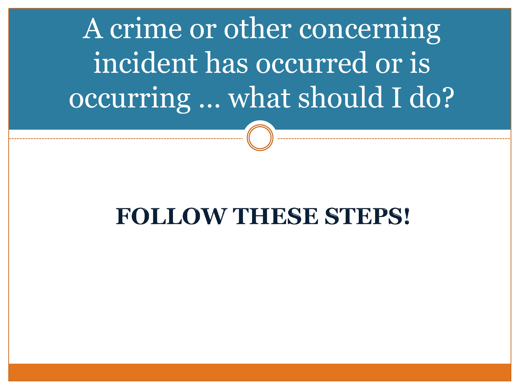A crime or other concerning incident has occurred or is occurring … what should I do?

## **FOLLOW THESE STEPS!**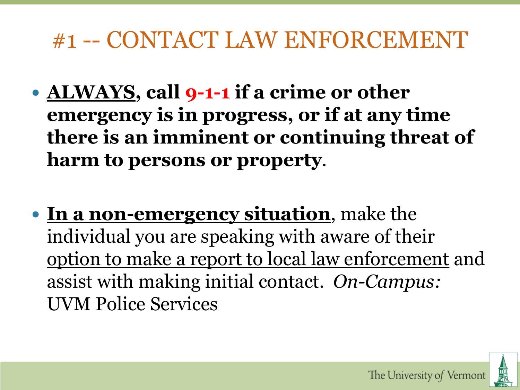### #1 -- CONTACT LAW ENFORCEMENT

- **ALWAYS, call 9-1-1 if a crime or other emergency is in progress, or if at any time there is an imminent or continuing threat of harm to persons or property**.
- **In a non-emergency situation**, make the individual you are speaking with aware of their option to make a report to local law enforcement and assist with making initial contact. *On-Campus:* UVM Police Services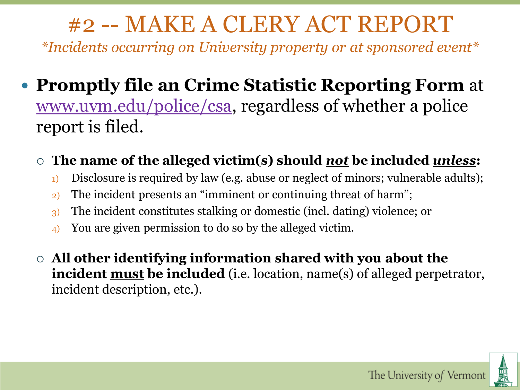## #2 -- MAKE A CLERY ACT REPORT

*\*Incidents occurring on University property or at sponsored event\**

#### **Promptly file an Crime Statistic Reporting Form** at [www.uvm.edu/police/csa](http://www.uvm.edu/police/csa), regardless of whether a police report is filed.

#### **The name of the alleged victim(s) should** *not* **be included** *unless***:**

- <sup>1)</sup> Disclosure is required by law (e.g. abuse or neglect of minors; vulnerable adults);
- 2) The incident presents an "imminent or continuing threat of harm";
- 3) The incident constitutes stalking or domestic (incl. dating) violence; or
- 4) You are given permission to do so by the alleged victim.
- **All other identifying information shared with you about the incident must be included** (i.e. location, name(s) of alleged perpetrator, incident description, etc.).

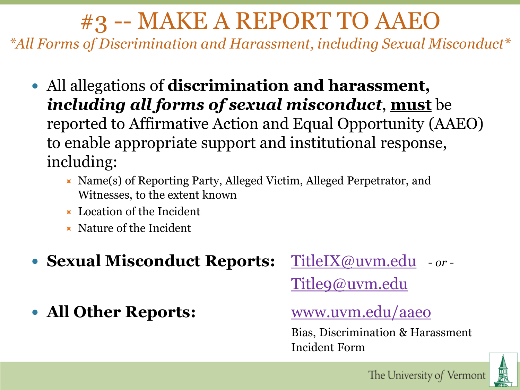## #3 -- MAKE A REPORT TO AAEO

*\*All Forms of Discrimination and Harassment, including Sexual Misconduct\**

- All allegations of **discrimination and harassment,**  *including all forms of sexual misconduct*, **must** be reported to Affirmative Action and Equal Opportunity (AAEO) to enable appropriate support and institutional response, including:
	- $\blacktriangleright$  Name(s) of Reporting Party, Alleged Victim, Alleged Perpetrator, and Witnesses, to the extent known
	- **Location of the Incident**
	- $\times$  Nature of the Incident
- **Sexual Misconduct Reports:** [TitleIX@uvm.edu](mailto:TitleIX@uvm.edu) *or -*

[Title9@uvm.edu](mailto:Title9@uvm.edu)

• All Other Reports: **WWW.uvm.edu/aaeo** 

Bias, Discrimination & Harassment Incident Form

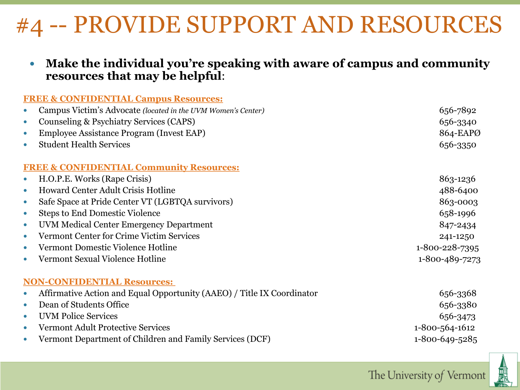## #4 -- PROVIDE SUPPORT AND RESOURCES

 **Make the individual you're speaking with aware of campus and community resources that may be helpful**:

| <b>FREE &amp; CONFIDENTIAL Campus Resources:</b>                                    |                                             |
|-------------------------------------------------------------------------------------|---------------------------------------------|
| Campus Victim's Advocate (located in the UVM Women's Center)<br>$\bullet$           | 656-7892                                    |
| Counseling & Psychiatry Services (CAPS)<br>$\bullet$                                | 656-3340                                    |
| Employee Assistance Program (Invest EAP)<br>$\bullet$                               | 864-EAPØ                                    |
| <b>Student Health Services</b><br>$\bullet$                                         | 656-3350                                    |
| <b>FREE &amp; CONFIDENTIAL Community Resources:</b>                                 |                                             |
| H.O.P.E. Works (Rape Crisis)<br>$\bullet$                                           | 863-1236                                    |
| <b>Howard Center Adult Crisis Hotline</b><br>$\bullet$                              | 488-6400                                    |
| Safe Space at Pride Center VT (LGBTQA survivors)<br>$\bullet$                       | 863-0003                                    |
| <b>Steps to End Domestic Violence</b><br>$\bullet$                                  | 658-1996                                    |
| UVM Medical Center Emergency Department<br>$\bullet$                                | 847-2434                                    |
| <b>Vermont Center for Crime Victim Services</b><br>$\bullet$                        | 241-1250                                    |
| Vermont Domestic Violence Hotline<br>$\bullet$                                      | 1-800-228-7395                              |
| Vermont Sexual Violence Hotline<br>$\bullet$                                        | 1-800-489-7273                              |
| <b>NON-CONFIDENTIAL Resources:</b>                                                  |                                             |
| Affirmative Action and Equal Opportunity (AAEO) / Title IX Coordinator<br>$\bullet$ | 656-3368                                    |
| Dean of Students Office<br>$\bullet$                                                | 656-3380                                    |
| $\pi \pi \pi \pi \pi$ $\mathbf{1'}$ $\alpha$                                        | $\epsilon$ $\epsilon$ $\epsilon$ $\epsilon$ |

• UVM Police Services 656-3473 Vermont Adult Protective Services 1-800-564-1612 Vermont Department of Children and Family Services (DCF) 1-800-649-5285

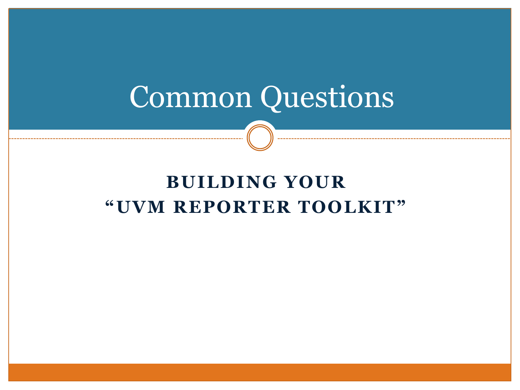# Common Questions

### **BUILDING YOUR "UVM REPORTER TOOLKIT"**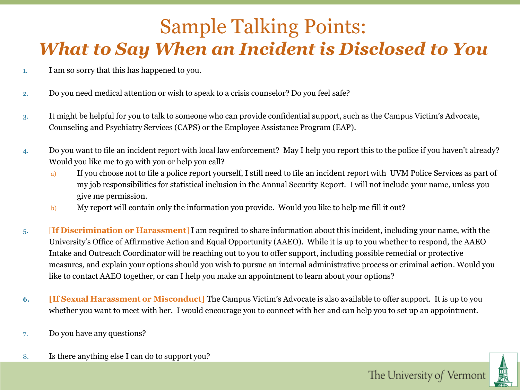### Sample Talking Points: *What to Say When an Incident is Disclosed to You*

- 1. I am so sorry that this has happened to you.
- 2. Do you need medical attention or wish to speak to a crisis counselor? Do you feel safe?
- 3. It might be helpful for you to talk to someone who can provide confidential support, such as the Campus Victim's Advocate, Counseling and Psychiatry Services (CAPS) or the Employee Assistance Program (EAP).
- 4. Do you want to file an incident report with local law enforcement? May I help you report this to the police if you haven't already? Would you like me to go with you or help you call?
	- a) If you choose not to file a police report yourself, I still need to file an incident report with UVM Police Services as part of my job responsibilities for statistical inclusion in the Annual Security Report. I will not include your name, unless you give me permission.
	- b) My report will contain only the information you provide. Would you like to help me fill it out?
- 5. [**If Discrimination or Harassment**] I am required to share information about this incident, including your name, with the University's Office of Affirmative Action and Equal Opportunity (AAEO). While it is up to you whether to respond, the AAEO Intake and Outreach Coordinator will be reaching out to you to offer support, including possible remedial or protective measures, and explain your options should you wish to pursue an internal administrative process or criminal action. Would you like to contact AAEO together, or can I help you make an appointment to learn about your options?
- **6. [If Sexual Harassment or Misconduct]** The Campus Victim's Advocate is also available to offer support. It is up to you whether you want to meet with her. I would encourage you to connect with her and can help you to set up an appointment.
- 7. Do you have any questions?
- 8. Is there anything else I can do to support you?

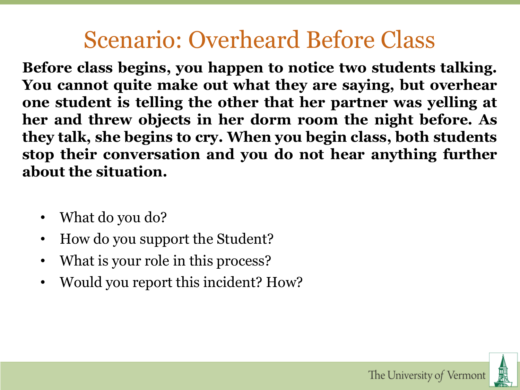## Scenario: Overheard Before Class

**Before class begins, you happen to notice two students talking. You cannot quite make out what they are saying, but overhear one student is telling the other that her partner was yelling at her and threw objects in her dorm room the night before. As they talk, she begins to cry. When you begin class, both students stop their conversation and you do not hear anything further about the situation.**

- What do you do?
- How do you support the Student?
- What is your role in this process?
- Would you report this incident? How?

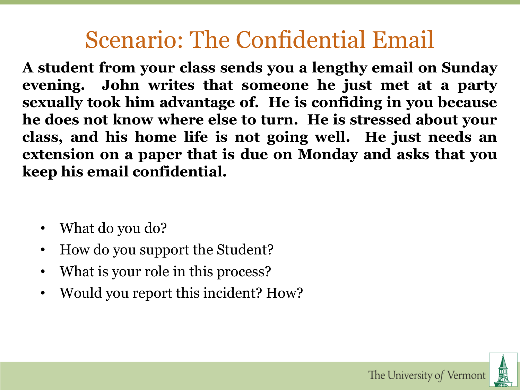## Scenario: The Confidential Email

**A student from your class sends you a lengthy email on Sunday evening. John writes that someone he just met at a party sexually took him advantage of. He is confiding in you because he does not know where else to turn. He is stressed about your class, and his home life is not going well. He just needs an extension on a paper that is due on Monday and asks that you keep his email confidential.**

- What do you do?
- How do you support the Student?
- What is your role in this process?
- Would you report this incident? How?

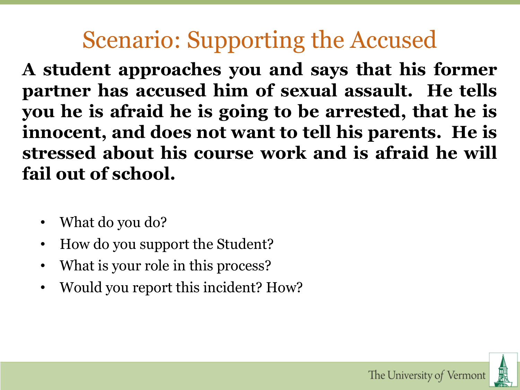## Scenario: Supporting the Accused

**A student approaches you and says that his former partner has accused him of sexual assault. He tells you he is afraid he is going to be arrested, that he is innocent, and does not want to tell his parents. He is stressed about his course work and is afraid he will fail out of school.**

- What do you do?
- How do you support the Student?
- What is your role in this process?
- Would you report this incident? How?

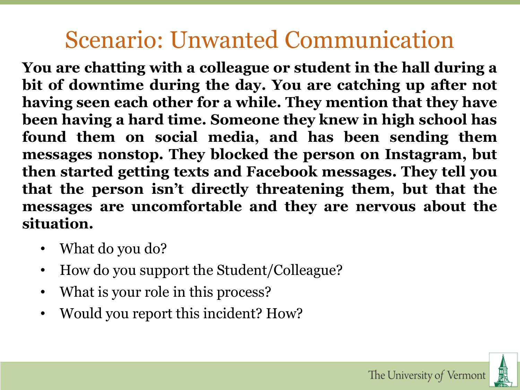## Scenario: Unwanted Communication

**You are chatting with a colleague or student in the hall during a bit of downtime during the day. You are catching up after not having seen each other for a while. They mention that they have been having a hard time. Someone they knew in high school has found them on social media, and has been sending them messages nonstop. They blocked the person on Instagram, but then started getting texts and Facebook messages. They tell you that the person isn't directly threatening them, but that the messages are uncomfortable and they are nervous about the situation.**

- What do you do?
- How do you support the Student/Colleague?
- What is your role in this process?
- Would you report this incident? How?

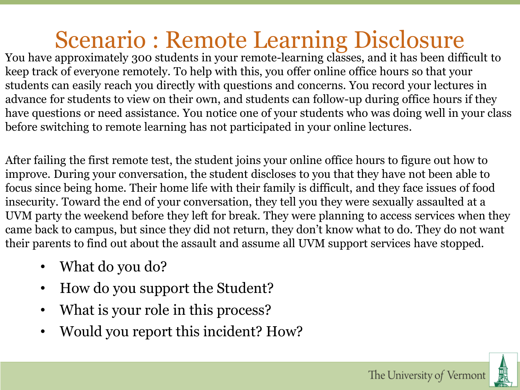## Scenario : Remote Learning Disclosure

You have approximately 300 students in your remote-learning classes, and it has been difficult to keep track of everyone remotely. To help with this, you offer online office hours so that your students can easily reach you directly with questions and concerns. You record your lectures in advance for students to view on their own, and students can follow-up during office hours if they have questions or need assistance. You notice one of your students who was doing well in your class before switching to remote learning has not participated in your online lectures.

After failing the first remote test, the student joins your online office hours to figure out how to improve. During your conversation, the student discloses to you that they have not been able to focus since being home. Their home life with their family is difficult, and they face issues of food insecurity. Toward the end of your conversation, they tell you they were sexually assaulted at a UVM party the weekend before they left for break. They were planning to access services when they came back to campus, but since they did not return, they don't know what to do. They do not want their parents to find out about the assault and assume all UVM support services have stopped.

- What do you do?
- How do you support the Student?
- What is your role in this process?
- Would you report this incident? How?

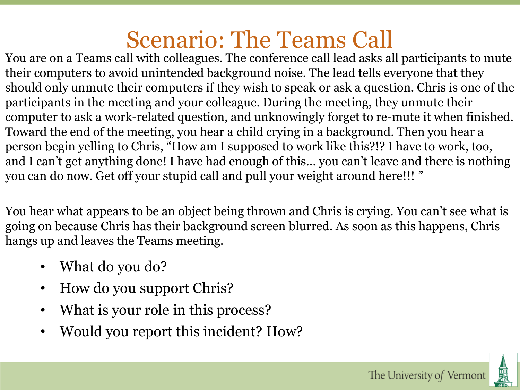## Scenario: The Teams Call

You are on a Teams call with colleagues. The conference call lead asks all participants to mute their computers to avoid unintended background noise. The lead tells everyone that they should only unmute their computers if they wish to speak or ask a question. Chris is one of the participants in the meeting and your colleague. During the meeting, they unmute their computer to ask a work-related question, and unknowingly forget to re-mute it when finished. Toward the end of the meeting, you hear a child crying in a background. Then you hear a person begin yelling to Chris, "How am I supposed to work like this?!? I have to work, too, and I can't get anything done! I have had enough of this… you can't leave and there is nothing you can do now. Get off your stupid call and pull your weight around here!!! "

You hear what appears to be an object being thrown and Chris is crying. You can't see what is going on because Chris has their background screen blurred. As soon as this happens, Chris hangs up and leaves the Teams meeting.

- What do you do?
- How do you support Chris?
- What is your role in this process?
- Would you report this incident? How?

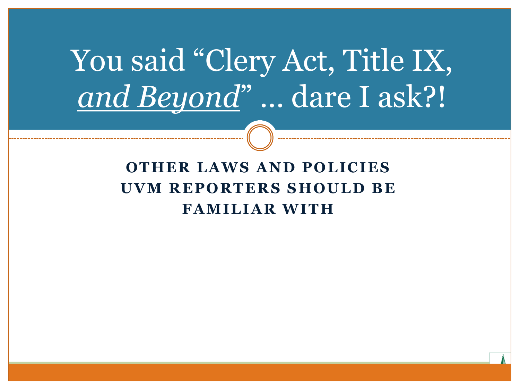# You said "Clery Act, Title IX, *and Beyond*" … dare I ask?!

#### **OTHER LAWS AND POLICIES UVM REPORTERS SHOULD BE FAMILIAR WITH**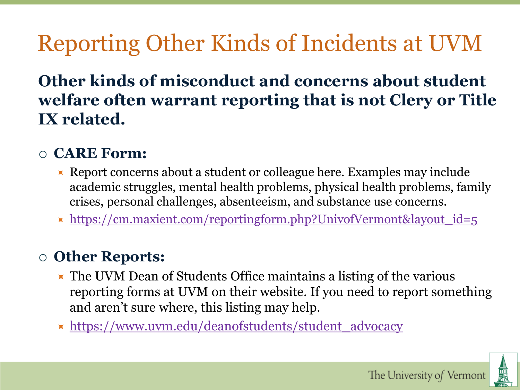## Reporting Other Kinds of Incidents at UVM

#### **Other kinds of misconduct and concerns about student welfare often warrant reporting that is not Clery or Title IX related.**

#### **CARE Form:**

- Report concerns about a student or colleague here. Examples may include academic struggles, mental health problems, physical health problems, family crises, personal challenges, absenteeism, and substance use concerns.
- $\star$  https://cm.maxient.com/reportingform.php?UnivofVermont&layout id=5

#### **Other Reports:**

- **The UVM Dean of Students Office maintains a listing of the various** reporting forms at UVM on their website. If you need to report something and aren't sure where, this listing may help.
- [https://www.uvm.edu/deanofstudents/student\\_advocacy](https://www.uvm.edu/deanofstudents/student_advocacy)

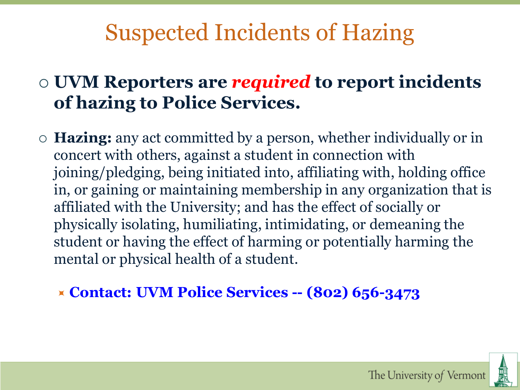## Suspected Incidents of Hazing

#### **UVM Reporters are** *required* **to report incidents of hazing to Police Services.**

 **Hazing:** any act committed by a person, whether individually or in concert with others, against a student in connection with joining/pledging, being initiated into, affiliating with, holding office in, or gaining or maintaining membership in any organization that is affiliated with the University; and has the effect of socially or physically isolating, humiliating, intimidating, or demeaning the student or having the effect of harming or potentially harming the mental or physical health of a student.

**Contact: UVM Police Services -- (802) 656-3473**

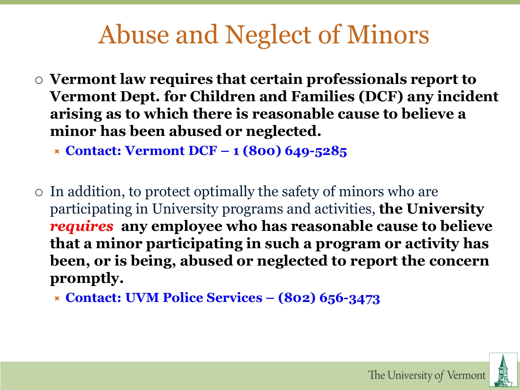## Abuse and Neglect of Minors

- **Vermont law requires that certain professionals report to Vermont Dept. for Children and Families (DCF) any incident arising as to which there is reasonable cause to believe a minor has been abused or neglected.**
	- **Contact: Vermont DCF – 1 (800) 649-5285**
- $\circ$  In addition, to protect optimally the safety of minors who are participating in University programs and activities, **the University**  *requires* **any employee who has reasonable cause to believe that a minor participating in such a program or activity has been, or is being, abused or neglected to report the concern promptly.**
	- **Contact: UVM Police Services – (802) 656-3473**

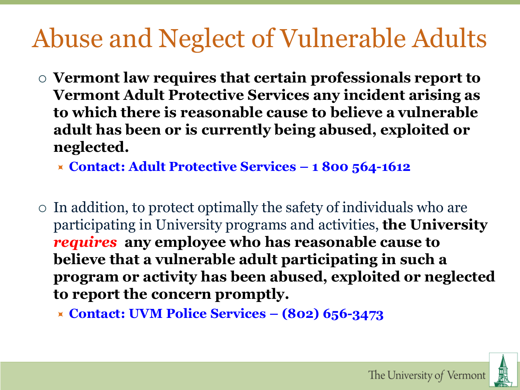# Abuse and Neglect of Vulnerable Adults

 **Vermont law requires that certain professionals report to Vermont Adult Protective Services any incident arising as to which there is reasonable cause to believe a vulnerable adult has been or is currently being abused, exploited or neglected.**

**Contact: Adult Protective Services – 1 800 564-1612**

 $\circ$  In addition, to protect optimally the safety of individuals who are participating in University programs and activities, **the University**  *requires* **any employee who has reasonable cause to believe that a vulnerable adult participating in such a program or activity has been abused, exploited or neglected to report the concern promptly.**

**Contact: UVM Police Services – (802) 656-3473**

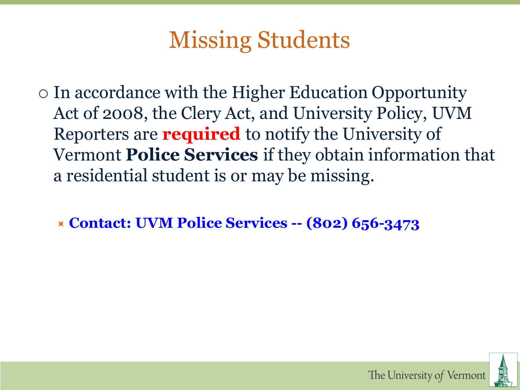## Missing Students

- In accordance with the Higher Education Opportunity Act of 2008, the Clery Act, and University Policy, UVM Reporters are **required** to notify the University of Vermont **Police Services** if they obtain information that a residential student is or may be missing.
	- **Contact: UVM Police Services -- (802) 656-3473**

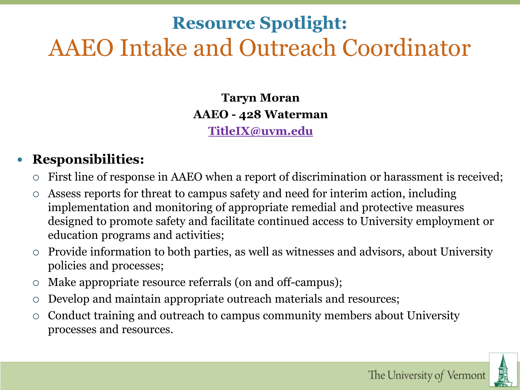### **Resource Spotlight:** AAEO Intake and Outreach Coordinator

**Taryn Moran AAEO - 428 Waterman**

**[TitleIX@uvm.edu](mailto:TitleIX@uvm.edu)**

#### **Responsibilities:**

- First line of response in AAEO when a report of discrimination or harassment is received;
- Assess reports for threat to campus safety and need for interim action, including implementation and monitoring of appropriate remedial and protective measures designed to promote safety and facilitate continued access to University employment or education programs and activities;
- Provide information to both parties, as well as witnesses and advisors, about University policies and processes;
- Make appropriate resource referrals (on and off-campus);
- Develop and maintain appropriate outreach materials and resources;
- Conduct training and outreach to campus community members about University processes and resources.

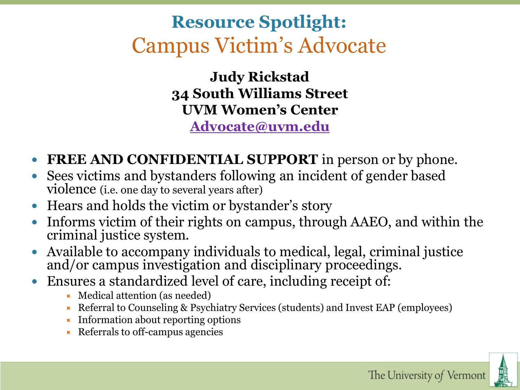### **Resource Spotlight:** Campus Victim's Advocate

**Judy Rickstad 34 South Williams Street UVM Women's Center [Advocate@uvm.edu](mailto:Advocate@uvm.edu)**

- **FREE AND CONFIDENTIAL SUPPORT** in person or by phone.
- Sees victims and bystanders following an incident of gender based violence (i.e. one day to several years after)
- Hears and holds the victim or bystander's story
- Informs victim of their rights on campus, through AAEO, and within the criminal justice system.
- Available to accompany individuals to medical, legal, criminal justice and/or campus investigation and disciplinary proceedings.
- Ensures a standardized level of care, including receipt of:
	- $\blacktriangleright$  Medical attention (as needed)
	- Referral to Counseling & Psychiatry Services (students) and Invest EAP (employees)
	- Information about reporting options
	- $\blacktriangleright$  Referrals to off-campus agencies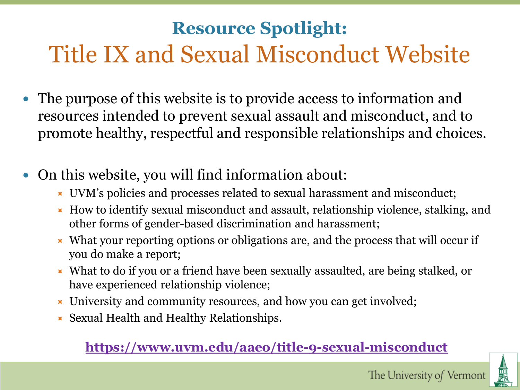## Title IX and Sexual Misconduct Website **Resource Spotlight:**

- The purpose of this website is to provide access to information and resources intended to prevent sexual assault and misconduct, and to promote healthy, respectful and responsible relationships and choices.
- On this website, you will find information about:
	- UVM's policies and processes related to sexual harassment and misconduct;
	- $\blacktriangleright$  How to identify sexual misconduct and assault, relationship violence, stalking, and other forms of gender-based discrimination and harassment;
	- $\blacktriangleright$  What your reporting options or obligations are, and the process that will occur if you do make a report;
	- What to do if you or a friend have been sexually assaulted, are being stalked, or have experienced relationship violence;
	- University and community resources, and how you can get involved;
	- $\blacktriangleright$  Sexual Health and Healthy Relationships.

#### **<https://www.uvm.edu/aaeo/title-9-sexual-misconduct>**

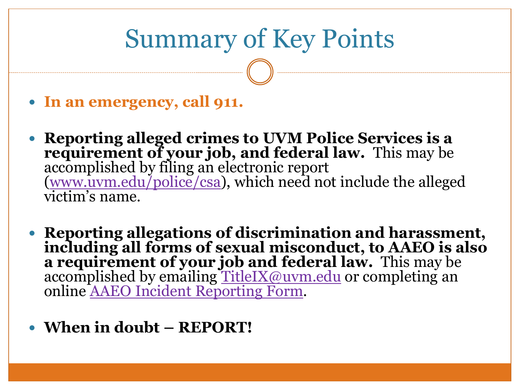## Summary of Key Points

- **In an emergency, call 911.**
- **Reporting alleged crimes to UVM Police Services is a requirement of your job, and federal law.** This may be accomplished by filing an electronic report ([www.uvm.edu/police/csa](http://www.uvm.edu/police/csa)), which need not include the alleged victim's name.
- **Reporting allegations of discrimination and harassment, including all forms of sexual misconduct, to AAEO is also a requirement of your job and federal law.** This may be accomplished by emailing [TitleIX@uvm.edu](mailto:TitleIX@uvm.edu) or completing an online [AAEO Incident Reporting Form.](https://cm.maxient.com/reportingform.php?UnivofVermontAAEO&layout_id=5)
- **When in doubt – REPORT!**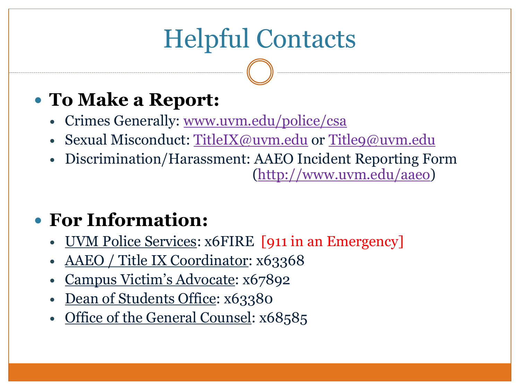# Helpful Contacts

### **To Make a Report:**

- Crimes Generally: [www.uvm.edu/police/csa](http://www.uvm.edu/police/csa)
- · Sexual Misconduct: [TitleIX@uvm.edu](mailto:TitleIX@uvm.edu) or [Title9@uvm.edu](mailto:Title9@uvm.edu)
- Discrimination/Harassment: AAEO Incident Reporting Form [\(http://www.uvm.edu/aaeo\)](http://www.uvm.edu/aaeo)

### **For Information:**

- UVM Police Services: x6FIRE [911 in an Emergency]
- AAEO / Title IX Coordinator: x63368
- Campus Victim's Advocate: x67892
- Dean of Students Office: x63380
- Office of the General Counsel: x68585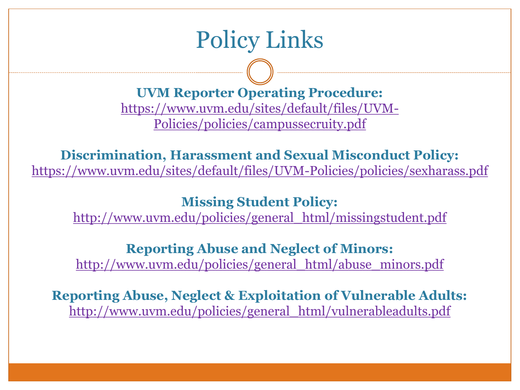## Policy Links

**UVM Reporter Operating Procedure:** [https://www.uvm.edu/sites/default/files/UVM-](https://www.uvm.edu/sites/default/files/UVM-Policies/policies/campussecruity.pdf)Policies/policies/campussecruity.pdf

**Discrimination, Harassment and Sexual Misconduct Policy:** <https://www.uvm.edu/sites/default/files/UVM-Policies/policies/sexharass.pdf>

**Missing Student Policy:**

[http://www.uvm.edu/policies/general\\_html/missingstudent.pdf](http://www.uvm.edu/policies/general_html/missingstudent.pdf)

**Reporting Abuse and Neglect of Minors:**

[http://www.uvm.edu/policies/general\\_html/abuse\\_minors.pdf](http://www.uvm.edu/policies/general_html/abuse_minors.pdf)

**Reporting Abuse, Neglect & Exploitation of Vulnerable Adults:** [http://www.uvm.edu/policies/general\\_html/vulnerableadults.pdf](http://www.uvm.edu/policies/general_html/vulnerableadults.pdf)